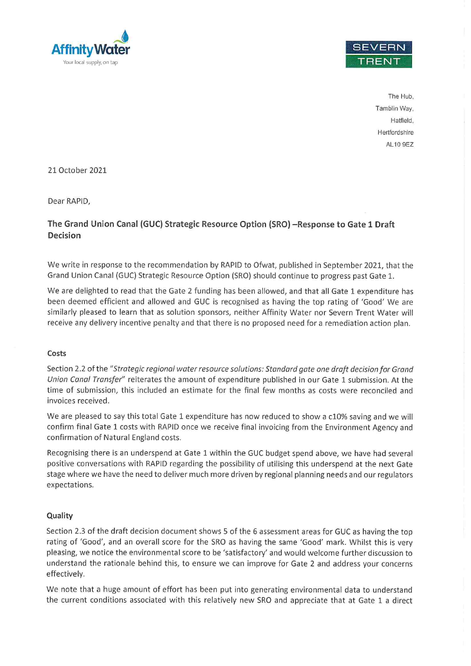



The Hub. Tamblin Way, Hatfield. Hertfordshire AL10 9EZ

21 October 2021

Dear RAPID,

# The Grand Union Canal (GUC) Strategic Resource Option (SRO) - Response to Gate 1 Draft Decision

We write in response to the recommendation by RAPID to Ofwat, published in September 2021, that the Grand Union Canal (GUC) Strategic Resource Option (SRO) should continue to progress past Gate 1.

We are delighted to read that the Gate 2 funding has been allowed, and that all Gate 1 expenditure has been deemed efficient and allowed and GUC is recognised as having the top rating of 'Good' We are similarly pleased to learn that as solution sponsors, neither Affinity Water nor Severn Trent Water will receive any delivery incentive penalty and that there is no proposed need for a remediation action plan.

## Costs

Section 2.2 of the "Strategic regional water resource solutions: Standard gate one draft decision for Grand Union Canal Transfer" reiterates the amount of expenditure published in our Gate 1 submission. At the time of submission, this included an estimate for the final few months as costs were reconciled and invoices received.

We are pleased to say this total Gate 1 expenditure has now reduced to show a c10% saving and we will confirm final Gate 1 costs with RAPID once we receive final invoicing from the Environment Agency and confirmation of Natural England costs.

Recognising there is an underspend at Gate 1 within the GUC budget spend above, we have had several positive conversations with RAPID regarding the possibility of utilising this underspend at the next Gate stage where we have the need to deliver much more driven by regional planning needs and our regulators expectations.

## Quality

Section 2.3 of the draft decision document shows 5 of the 6 assessment areas for GUC as having the top rating of 'Good', and an overall score for the SRO as having the same 'Good' mark. Whilst this is very pleasing, we notice the environmental score to be 'satisfactory' and would welcome further discussion to understand the rationale behind this, to ensure we can improve for Gate 2 and address your concerns effectively.

We note that a huge amount of effort has been put into generating environmental data to understand the current conditions associated with this relatively new SRO and appreciate that at Gate 1 a direct